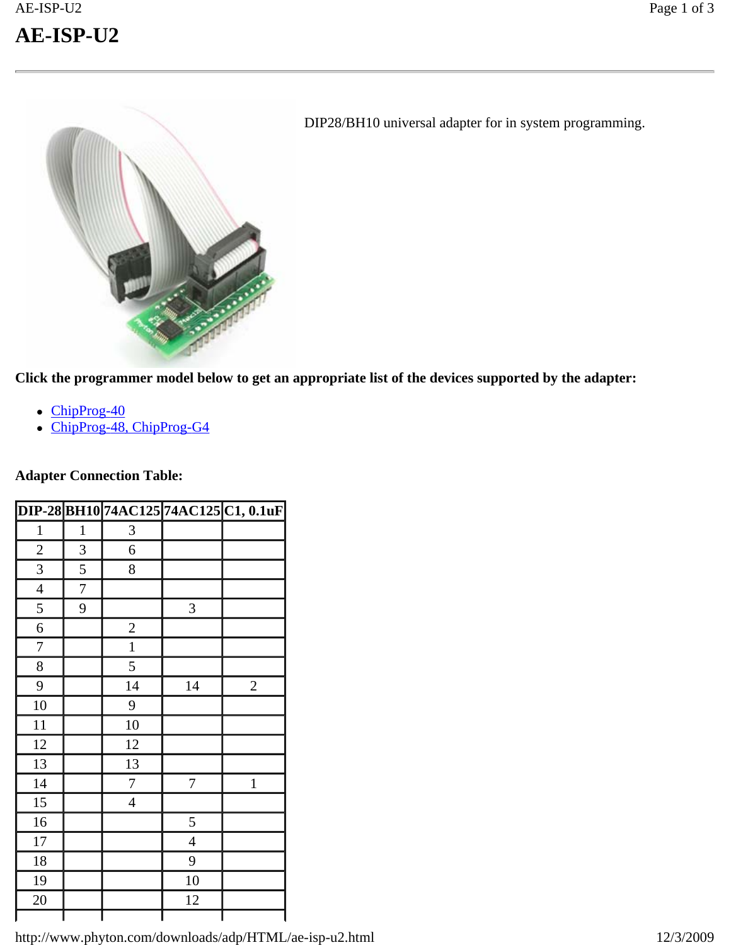

DIP28/BH10 universal adapter for in system programming.

**Click the programmer model below to get an appropriate list of the devices supported by the adapter:**

- $\bullet$  ChipProg-40
- ChipProg-48, ChipProg-G4

### **Adapter Connection Table:**

|                |                |                |                  | DIP-28 BH10 74AC125 74AC125 C1, 0.1uF |
|----------------|----------------|----------------|------------------|---------------------------------------|
| $\mathbf{1}$   | $\mathbf{1}$   | 3              |                  |                                       |
| $\overline{2}$ | 3              | 6              |                  |                                       |
| 3              | 5              | 8              |                  |                                       |
| $\overline{4}$ | $\overline{7}$ |                |                  |                                       |
| 5              | 9              |                | 3                |                                       |
| 6              |                | $\overline{c}$ |                  |                                       |
| $\overline{7}$ |                | $\mathbf{1}$   |                  |                                       |
| 8              |                | 5              |                  |                                       |
| 9              |                | 14             | 14               | $\overline{2}$                        |
| 10             |                | 9              |                  |                                       |
| 11             |                | 10             |                  |                                       |
| 12             |                | 12             |                  |                                       |
| 13             |                | 13             |                  |                                       |
| 14             |                | $\overline{7}$ | $\boldsymbol{7}$ | $\mathbf{1}$                          |
| 15             |                | $\overline{4}$ |                  |                                       |
| 16             |                |                | 5                |                                       |
| 17             |                |                | 4                |                                       |
| 18             |                |                | 9                |                                       |
| 19             |                |                | 10               |                                       |
| 20             |                |                | 12               |                                       |
|                |                |                |                  |                                       |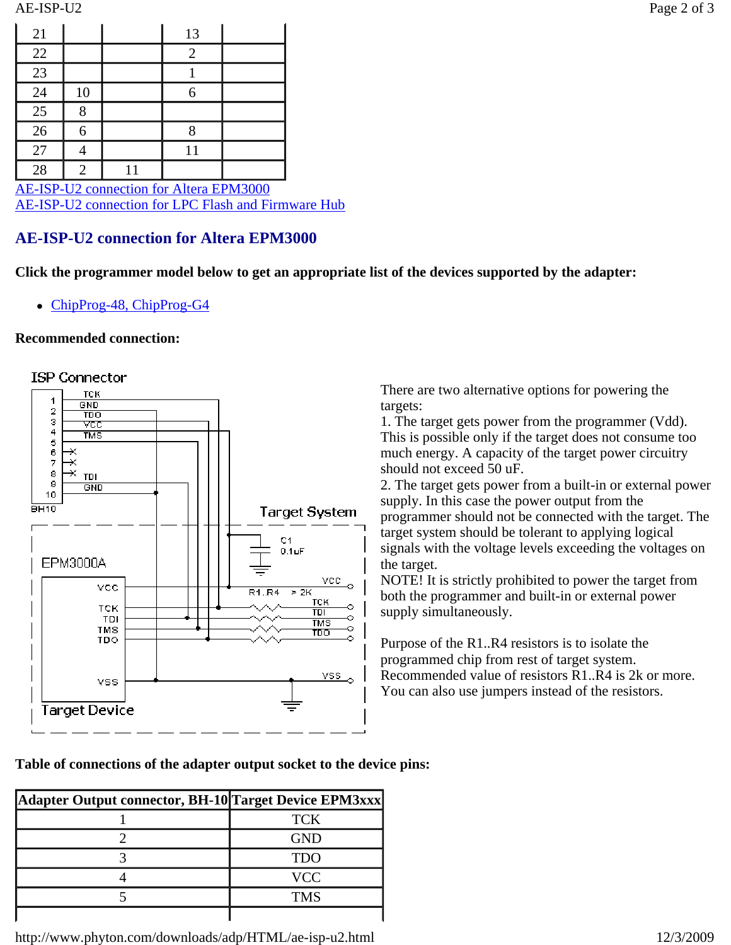| 21                                      |    |    | 13 |  |  |
|-----------------------------------------|----|----|----|--|--|
| 22                                      |    |    |    |  |  |
| 23                                      |    |    |    |  |  |
| 24                                      | 10 |    | 6  |  |  |
| 25                                      |    |    |    |  |  |
| 26                                      |    |    |    |  |  |
| 27                                      |    |    |    |  |  |
| 28                                      | 2  | 11 |    |  |  |
| AE-ISP-U2 connection for Altera EPM3000 |    |    |    |  |  |

AE-ISP-U2 connection for LPC Flash and Firmware Hub

# **AE-ISP-U2 connection for Altera EPM3000**

**Click the programmer model below to get an appropriate list of the devices supported by the adapter:**

ChipProg-48, ChipProg-G4

### **Recommended connection:**





There are two alternative options for powering the targets:

1. The target gets power from the programmer (Vdd). This is possible only if the target does not consume too much energy. A capacity of the target power circuitry should not exceed 50 uF.

2. The target gets power from a built-in or external power supply. In this case the power output from the programmer should not be connected with the target. The target system should be tolerant to applying logical signals with the voltage levels exceeding the voltages on the target.

NOTE! It is strictly prohibited to power the target from both the programmer and built-in or external power supply simultaneously.

Purpose of the R1..R4 resistors is to isolate the programmed chip from rest of target system. Recommended value of resistors R1..R4 is 2k or more. You can also use jumpers instead of the resistors.

**Table of connections of the adapter output socket to the device pins:**

| Adapter Output connector, BH-10 Target Device EPM3xxx |            |
|-------------------------------------------------------|------------|
|                                                       | <b>TCK</b> |
|                                                       | <b>GND</b> |
|                                                       | TDO        |
|                                                       | <b>VCC</b> |
|                                                       | TMS        |
|                                                       |            |

http://www.phyton.com/downloads/adp/HTML/ae-isp-u2.html 12/3/2009